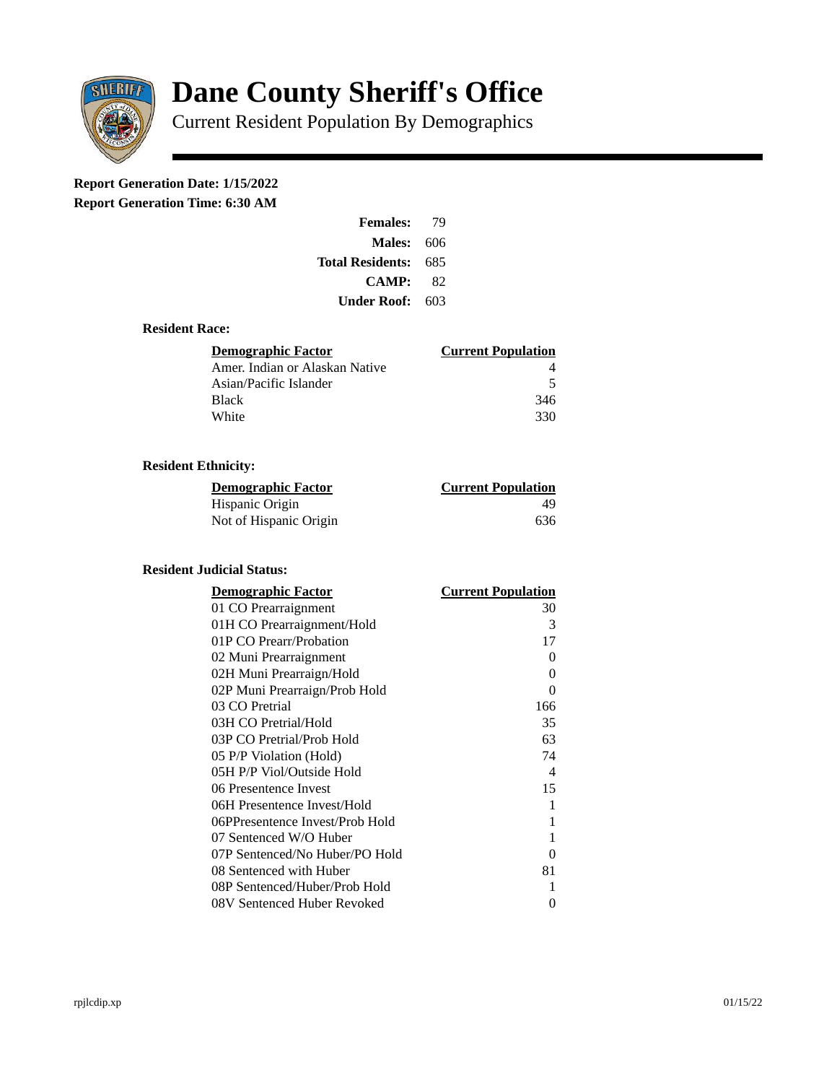

# **Dane County Sheriff's Office**

Current Resident Population By Demographics

# **Report Generation Date: 1/15/2022**

**Report Generation Time: 6:30 AM** 

| <b>Females:</b>   | 79  |
|-------------------|-----|
| <b>Males: 606</b> |     |
| Total Residents:  | 685 |
| <b>CAMP:</b>      | 82  |
| Under Roof:       | 603 |

#### **Resident Race:**

| Demographic Factor             | <b>Current Population</b> |
|--------------------------------|---------------------------|
| Amer. Indian or Alaskan Native |                           |
| Asian/Pacific Islander         | .5                        |
| Black                          | 346                       |
| White                          | 330                       |

## **Resident Ethnicity:**

| <u> Demographic Factor</u> | <b>Current Population</b> |
|----------------------------|---------------------------|
| Hispanic Origin            | 49                        |
| Not of Hispanic Origin     | 636                       |

### **Resident Judicial Status:**

| <b>Demographic Factor</b>       | <b>Current Population</b>  |
|---------------------------------|----------------------------|
| 01 CO Prearraignment            | 30                         |
| 01H CO Prearraignment/Hold      | 3                          |
| 01P CO Prearr/Probation         | 17                         |
| 02 Muni Prearraignment          | 0                          |
| 02H Muni Prearraign/Hold        | 0                          |
| 02P Muni Prearraign/Prob Hold   | 0                          |
| 03 CO Pretrial                  | 166                        |
| 03H CO Pretrial/Hold            | 35                         |
| 03P CO Pretrial/Prob Hold       | 63                         |
| 05 P/P Violation (Hold)         | 74                         |
| 05H P/P Viol/Outside Hold       | $\boldsymbol{\mathcal{A}}$ |
| 06 Presentence Invest           | 15                         |
| 06H Presentence Invest/Hold     | 1                          |
| 06PPresentence Invest/Prob Hold | 1                          |
| 07 Sentenced W/O Huber          | 1                          |
| 07P Sentenced/No Huber/PO Hold  | 0                          |
| 08 Sentenced with Huber         | 81                         |
| 08P Sentenced/Huber/Prob Hold   | 1                          |
| 08V Sentenced Huber Revoked     | 0                          |